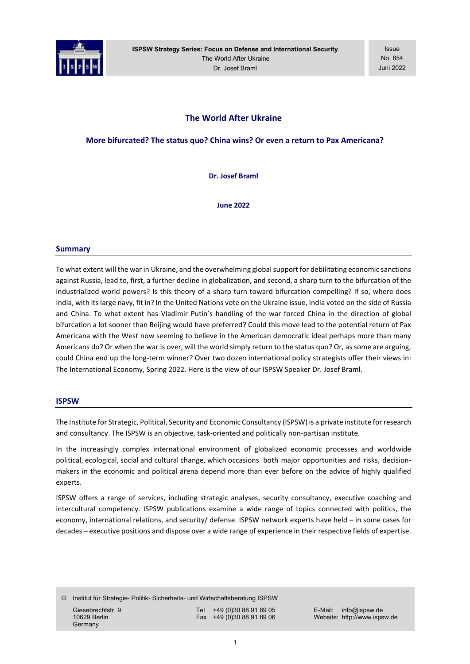

ISPSW Strategy Series: Focus on Defense and International Security The World After Ukraine Dr. Josef Braml

Issue No. 854 Juni 2022

# The World After Ukraine

More bifurcated? The status quo? China wins? Or even a return to Pax Americana?

Dr. Josef Braml

June 2022

#### Summary

To what extent will the war in Ukraine, and the overwhelming global support for debilitating economic sanctions against Russia, lead to, first, a further decline in globalization, and second, a sharp turn to the bifurcation of the industrialized world powers? Is this theory of a sharp turn toward bifurcation compelling? If so, where does India, with its large navy, fit in? In the United Nations vote on the Ukraine issue, India voted on the side of Russia and China. To what extent has Vladimir Putin's handling of the war forced China in the direction of global bifurcation a lot sooner than Beijing would have preferred? Could this move lead to the potential return of Pax Americana with the West now seeming to believe in the American democratic ideal perhaps more than many Americans do? Or when the war is over, will the world simply return to the status quo? Or, as some are arguing, could China end up the long-term winner? Over two dozen international policy strategists offer their views in: The International Economy, Spring 2022. Here is the view of our ISPSW Speaker Dr. Josef Braml.

#### **ISPSW**

The Institute for Strategic, Political, Security and Economic Consultancy (ISPSW) is a private institute for research and consultancy. The ISPSW is an objective, task-oriented and politically non-partisan institute.

In the increasingly complex international environment of globalized economic processes and worldwide political, ecological, social and cultural change, which occasions both major opportunities and risks, decisionmakers in the economic and political arena depend more than ever before on the advice of highly qualified experts.

ISPSW offers a range of services, including strategic analyses, security consultancy, executive coaching and intercultural competency. ISPSW publications examine a wide range of topics connected with politics, the economy, international relations, and security/ defense. ISPSW network experts have held – in some cases for decades – executive positions and dispose over a wide range of experience in their respective fields of expertise.

© Institut für Strategie- Politik- Sicherheits- und Wirtschaftsberatung ISPSW

**Germany** 

Giesebrechtstr. 9 Tel +49 (0)30 88 91 89 05 E-Mail: info@ispsw.de<br>10629 Berlin Fax +49 (0)30 88 91 89 06 Website: http://www.isps

10629 Berlin Fax +49 (0)30 88 91 89 06 Website: http://www.ispsw.de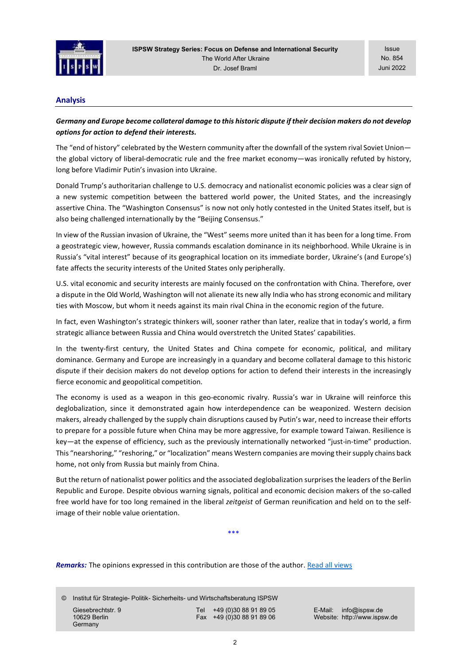

Issue No. 854 Juni 2022

### Analysis

## Germany and Europe become collateral damage to this historic dispute if their decision makers do not develop options for action to defend their interests.

The "end of history" celebrated by the Western community after the downfall of the system rival Soviet Union the global victory of liberal-democratic rule and the free market economy—was ironically refuted by history, long before Vladimir Putin's invasion into Ukraine.

Donald Trump's authoritarian challenge to U.S. democracy and nationalist economic policies was a clear sign of a new systemic competition between the battered world power, the United States, and the increasingly assertive China. The "Washington Consensus" is now not only hotly contested in the United States itself, but is also being challenged internationally by the "Beijing Consensus."

In view of the Russian invasion of Ukraine, the "West" seems more united than it has been for a long time. From a geostrategic view, however, Russia commands escalation dominance in its neighborhood. While Ukraine is in Russia's "vital interest" because of its geographical location on its immediate border, Ukraine's (and Europe's) fate affects the security interests of the United States only peripherally.

U.S. vital economic and security interests are mainly focused on the confrontation with China. Therefore, over a dispute in the Old World, Washington will not alienate its new ally India who has strong economic and military ties with Moscow, but whom it needs against its main rival China in the economic region of the future.

In fact, even Washington's strategic thinkers will, sooner rather than later, realize that in today's world, a firm strategic alliance between Russia and China would overstretch the United States' capabilities.

In the twenty-first century, the United States and China compete for economic, political, and military dominance. Germany and Europe are increasingly in a quandary and become collateral damage to this historic dispute if their decision makers do not develop options for action to defend their interests in the increasingly fierce economic and geopolitical competition.

The economy is used as a weapon in this geo-economic rivalry. Russia's war in Ukraine will reinforce this deglobalization, since it demonstrated again how interdependence can be weaponized. Western decision makers, already challenged by the supply chain disruptions caused by Putin's war, need to increase their efforts to prepare for a possible future when China may be more aggressive, for example toward Taiwan. Resilience is key—at the expense of efficiency, such as the previously internationally networked "just-in-time" production. This "nearshoring," "reshoring," or "localization" means Western companies are moving their supply chains back home, not only from Russia but mainly from China.

But the return of nationalist power politics and the associated deglobalization surprises the leaders of the Berlin Republic and Europe. Despite obvious warning signals, political and economic decision makers of the so-called free world have for too long remained in the liberal zeitgeist of German reunification and held on to the selfimage of their noble value orientation.

\*\*\*

Remarks: The opinions expressed in this contribution are those of the author. Read all views

© Institut für Strategie- Politik- Sicherheits- und Wirtschaftsberatung ISPSW

**Germany** 

Giesebrechtstr. 9 Tel +49 (0)30 88 91 89 05 E-Mail: info@ispsw.de<br>10629 Berlin Fax +49 (0)30 88 91 89 06 Website: http://www.isps

10629 Berlin Fax +49 (0)30 88 91 89 06 Website: http://www.ispsw.de